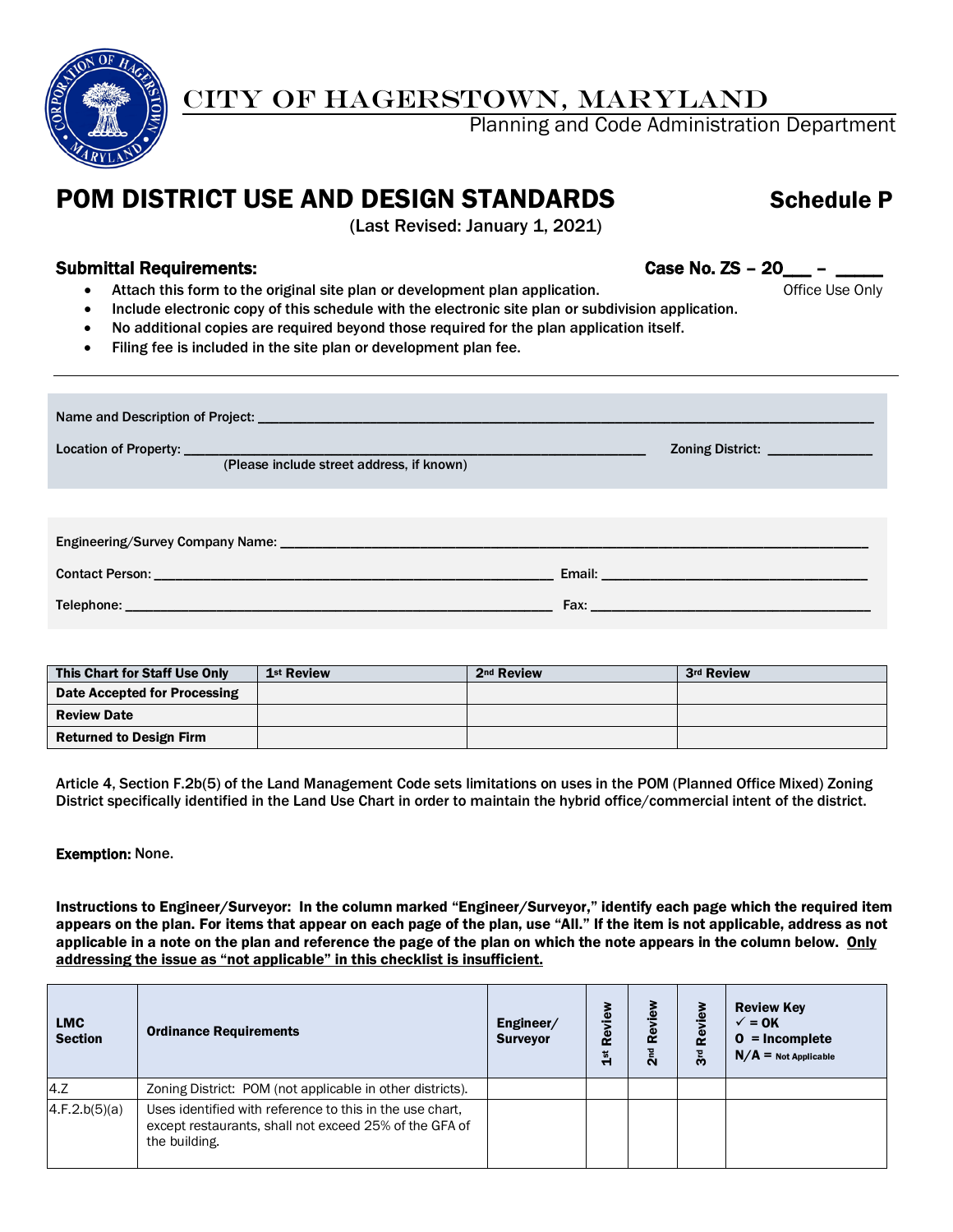

## CITY OF HAGERSTOWN, MARYLAND

Planning and Code Administration Department

# POM DISTRICT USE AND DESIGN STANDARDS Schedule P

(Last Revised: January 1, 2021)

## Submittal Requirements: Case No. ZS - 20\_

- Attach this form to the original site plan or development plan application. The example office Use Only
- Include electronic copy of this schedule with the electronic site plan or subdivision application.
- No additional copies are required beyond those required for the plan application itself.
- Filing fee is included in the site plan or development plan fee.

| (Please include street address, if known) | Zoning District: _______________                                                                                                                                                                                                     |
|-------------------------------------------|--------------------------------------------------------------------------------------------------------------------------------------------------------------------------------------------------------------------------------------|
|                                           |                                                                                                                                                                                                                                      |
|                                           |                                                                                                                                                                                                                                      |
|                                           | Fax: <u>Alexander State (Alexander State State State State State State State State State State State State State State State State State State State State State State State State State State State State State State State Sta</u> |

| This Chart for Staff Use Only  | 1 <sup>st</sup> Review | 2 <sup>nd</sup> Review | 3rd Review |
|--------------------------------|------------------------|------------------------|------------|
| Date Accepted for Processing   |                        |                        |            |
| <b>Review Date</b>             |                        |                        |            |
| <b>Returned to Design Firm</b> |                        |                        |            |

Article 4, Section F.2b(5) of the Land Management Code sets limitations on uses in the POM (Planned Office Mixed) Zoning District specifically identified in the Land Use Chart in order to maintain the hybrid office/commercial intent of the district.

#### Exemption: None.

Instructions to Engineer/Surveyor: In the column marked "Engineer/Surveyor," identify each page which the required item appears on the plan. For items that appear on each page of the plan, use "All." If the item is not applicable, address as not applicable in a note on the plan and reference the page of the plan on which the note appears in the column below. Only addressing the issue as "not applicable" in this checklist is insufficient.

| <b>LMC</b><br><b>Section</b> | <b>Ordinance Requirements</b>                                                                                                       | Engineer/<br><b>Surveyor</b> | Review<br>$\frac{5}{15}$ | ۆ<br>ف<br>Revi<br>2 <sup>nd</sup> | Review<br>$\overline{3}$ rd | <b>Review Key</b><br>$\sqrt{}=$ OK<br>$0 = Incomplete$<br>$N/A$ = Not Applicable |
|------------------------------|-------------------------------------------------------------------------------------------------------------------------------------|------------------------------|--------------------------|-----------------------------------|-----------------------------|----------------------------------------------------------------------------------|
| 4.7                          | Zoning District: POM (not applicable in other districts).                                                                           |                              |                          |                                   |                             |                                                                                  |
| 4.F.2.b(5)(a)                | Uses identified with reference to this in the use chart,<br>except restaurants, shall not exceed 25% of the GFA of<br>the building. |                              |                          |                                   |                             |                                                                                  |